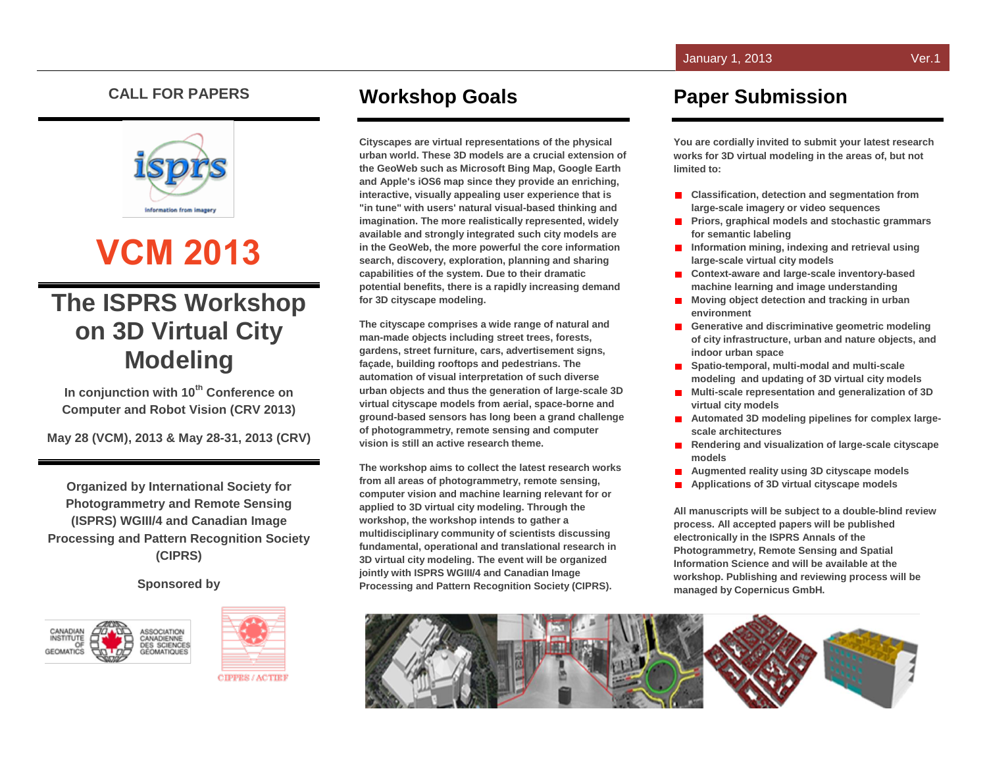#### **CALL FOR PAPERS**



# **VCM 2013**

## **The ISPRS Workshop on 3D Virtual City Modeling**

**In conjunction with 10th Conference on Computer and Robot Vision (CRV 2013)**

**May 28 (VCM), 2013 & May 28-31, 2013 (CRV)**

**Organized by International Society for Photogrammetry and Remote Sensing (ISPRS) WGIII/4 and Canadian Image Processing and Pattern Recognition Society (CIPRS)**

**Sponsored by**





### **Workshop Goals**

**Cityscapes are virtual representations of the physical urban world. These 3D models are a crucial extension of the GeoWeb such as Microsoft Bing Map, Google Earth and Apple's iOS6 map since they provide an enriching, interactive, visually appealing user experience that is "in tune" with users' natural visual-based thinking and imagination. The more realistically represented, widely available and strongly integrated such city models are in the GeoWeb, the more powerful the core information search, discovery, exploration, planning and sharing capabilities of the system. Due to their dramatic potential benefits, there is a rapidly increasing demand for 3D cityscape modeling.** 

**The cityscape comprises a wide range of natural and man-made objects including street trees, forests, gardens, street furniture, cars, advertisement signs, façade, building rooftops and pedestrians. The automation of visual interpretation of such diverse urban objects and thus the generation of large-scale 3D virtual cityscape models from aerial, space-borne and ground-based sensors has long been a grand challenge of photogrammetry, remote sensing and computer vision is still an active research theme.**

**The workshop aims to collect the latest research works from all areas of photogrammetry, remote sensing, computer vision and machine learning relevant for or applied to 3D virtual city modeling. Through the workshop, the workshop intends to gather a multidisciplinary community of scientists discussing fundamental, operational and translational research in 3D virtual city modeling. The event will be organized jointly with ISPRS WGIII/4 and Canadian Image Processing and Pattern Recognition Society (CIPRS).**

#### **Paper Submission**

**You are cordially invited to submit your latest research works for 3D virtual modeling in the areas of, but not limited to:** 

- **E** Classification, detection and segmentation from **large-scale imagery or video sequences**
- **Priors, graphical models and stochastic grammars for semantic labeling**
- **Information mining, indexing and retrieval using large-scale virtual city models**
- Context-aware and large-scale inventory-based **machine learning and image understanding**
- **Moving object detection and tracking in urban environment**
- **Generative and discriminative geometric modeling of city infrastructure, urban and nature objects, and indoor urban space**
- Spatio-temporal, multi-modal and multi-scale **modeling and updating of 3D virtual city models**
- **Multi-scale representation and generalization of 3D virtual city models**
- **Automated 3D modeling pipelines for complex largescale architectures**
- **Rendering and visualization of large-scale cityscape**   $\blacksquare$ **models**
- **Augmented reality using 3D cityscape models**
- **Applications of 3D virtual cityscape models**

**All manuscripts will be subject to a double-blind review process. All accepted papers will be published electronically in the ISPRS Annals of the Photogrammetry, Remote Sensing and Spatial Information Science and will be available at the workshop. Publishing and reviewing process will be managed by Copernicus GmbH.**